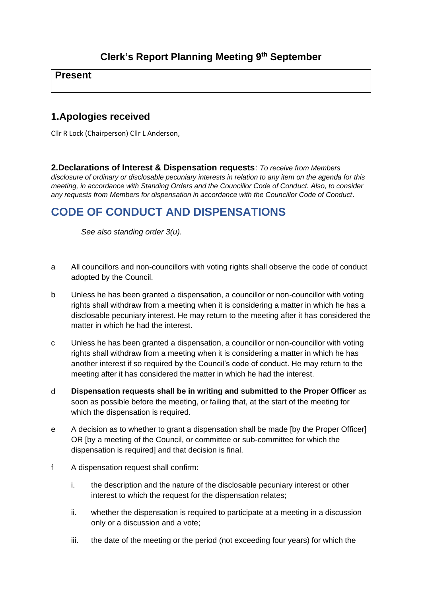## **Present**

# **1.Apologies received**

Cllr R Lock (Chairperson) Cllr L Anderson,

**2.Declarations of Interest & Dispensation requests**: *To receive from Members disclosure of ordinary or disclosable pecuniary interests in relation to any item on the agenda for this meeting, in accordance with Standing Orders and the Councillor Code of Conduct. Also, to consider any requests from Members for dispensation in accordance with the Councillor Code of Conduct*.

# **CODE OF CONDUCT AND DISPENSATIONS**

*See also standing order 3(u).*

- a All councillors and non-councillors with voting rights shall observe the code of conduct adopted by the Council.
- b Unless he has been granted a dispensation, a councillor or non-councillor with voting rights shall withdraw from a meeting when it is considering a matter in which he has a disclosable pecuniary interest. He may return to the meeting after it has considered the matter in which he had the interest.
- c Unless he has been granted a dispensation, a councillor or non-councillor with voting rights shall withdraw from a meeting when it is considering a matter in which he has another interest if so required by the Council's code of conduct. He may return to the meeting after it has considered the matter in which he had the interest.
- d **Dispensation requests shall be in writing and submitted to the Proper Officer** as soon as possible before the meeting, or failing that, at the start of the meeting for which the dispensation is required.
- e A decision as to whether to grant a dispensation shall be made [by the Proper Officer] OR [by a meeting of the Council, or committee or sub-committee for which the dispensation is required] and that decision is final.
- f A dispensation request shall confirm:
	- i. the description and the nature of the disclosable pecuniary interest or other interest to which the request for the dispensation relates;
	- ii. whether the dispensation is required to participate at a meeting in a discussion only or a discussion and a vote;
	- iii. the date of the meeting or the period (not exceeding four years) for which the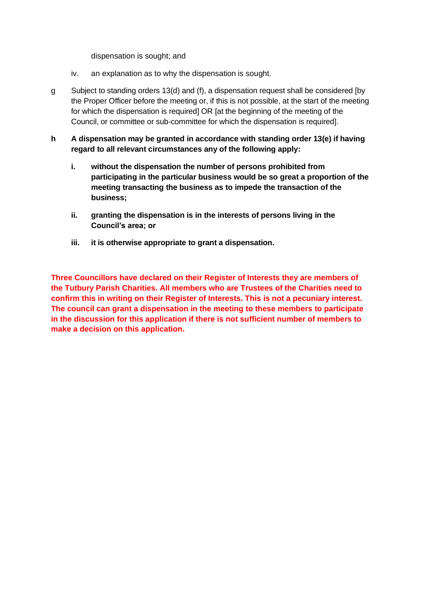dispensation is sought; and

- iv. an explanation as to why the dispensation is sought.
- g Subject to standing orders 13(d) and (f), a dispensation request shall be considered [by the Proper Officer before the meeting or, if this is not possible, at the start of the meeting for which the dispensation is required] OR [at the beginning of the meeting of the Council, or committee or sub-committee for which the dispensation is required].
- **h A dispensation may be granted in accordance with standing order 13(e) if having regard to all relevant circumstances any of the following apply:**
	- **i. without the dispensation the number of persons prohibited from participating in the particular business would be so great a proportion of the meeting transacting the business as to impede the transaction of the business;**
	- **ii. granting the dispensation is in the interests of persons living in the Council's area; or**
	- **iii. it is otherwise appropriate to grant a dispensation.**

**Three Councillors have declared on their Register of Interests they are members of the Tutbury Parish Charities. All members who are Trustees of the Charities need to confirm this in writing on their Register of Interests. This is not a pecuniary interest. The council can grant a dispensation in the meeting to these members to participate in the discussion for this application if there is not sufficient number of members to make a decision on this application.**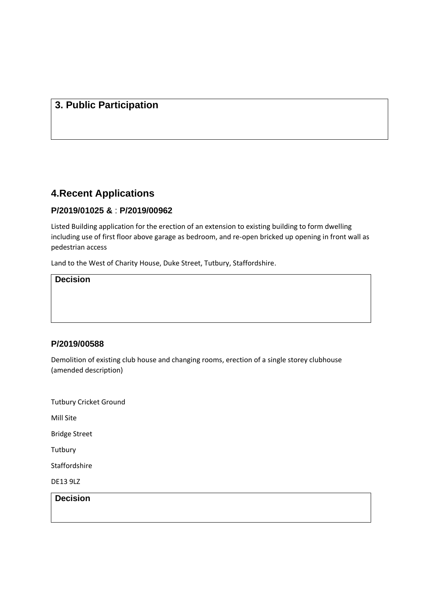## **3. Public Participation**

# **4.Recent Applications**

#### **P/2019/01025 &** : **P/2019/00962**

Listed Building application for the erection of an extension to existing building to form dwelling including use of first floor above garage as bedroom, and re-open bricked up opening in front wall as pedestrian access

Land to the West of Charity House, Duke Street, Tutbury, Staffordshire.

#### **Decision**

#### **P/2019/00588**

Demolition of existing club house and changing rooms, erection of a single storey clubhouse (amended description)

Tutbury Cricket Ground

Mill Site

Bridge Street

**Tutbury** 

Staffordshire

DE13 9LZ

**Decision**